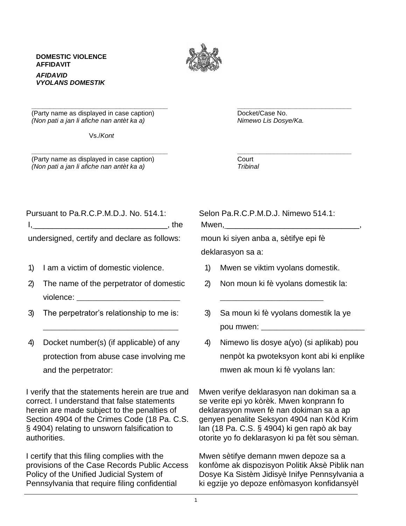## **DOMESTIC VIOLENCE AFFIDAVIT** *AFIDAVID VYOLANS DOMESTIK*



**\_\_\_\_\_\_\_\_\_\_\_\_\_\_\_\_\_\_\_\_\_\_\_\_\_\_\_\_\_\_\_\_\_\_\_\_\_ \_\_\_\_\_\_\_\_\_\_\_\_\_\_\_\_\_\_\_\_\_\_\_\_\_\_\_\_\_\_\_**

**\_\_\_\_\_\_\_\_\_\_\_\_\_\_\_\_\_\_\_\_\_\_\_\_\_\_\_\_\_\_\_\_\_\_\_\_\_ \_\_\_\_\_\_\_\_\_\_\_\_\_\_\_\_\_\_\_\_\_\_\_\_\_\_\_\_\_\_\_** (Party name as displayed in case caption) example and the Docket/Case No. *(Non pati a jan li afiche nan antèt ka a) Nimewo Lis Dosye/Ka.*

Vs./*Kont*

(Party name as displayed in case caption) Court *(Non pati a jan li afiche nan antèt ka a) Tribinal*

|  |  | Pursuant to Pa.R.C.P.M.D.J. No. 514.1: |  |  |                      |
|--|--|----------------------------------------|--|--|----------------------|
|  |  |                                        |  |  | $\blacksquare$ , the |
|  |  | .                                      |  |  |                      |

undersigned, certify and declare as follows:

- 1) I am a victim of domestic violence.
- 2) The name of the perpetrator of domestic violence: \_\_\_\_\_\_\_\_\_\_\_\_\_\_\_\_\_\_\_\_\_\_\_\_\_\_
- 3) The perpetrator's relationship to me is:
- 4) Docket number(s) (if applicable) of any protection from abuse case involving me and the perpetrator:

\_\_\_\_\_\_\_\_\_\_\_\_\_\_\_\_\_\_\_\_\_\_\_\_\_\_\_\_\_\_\_\_\_\_

I verify that the statements herein are true and correct. I understand that false statements herein are made subject to the penalties of Section 4904 of the Crimes Code (18 Pa. C.S. § 4904) relating to unsworn falsification to authorities.

I certify that this filing complies with the provisions of the Case Records Public Access Policy of the Unified Judicial System of Pennsylvania that require filing confidential

Selon Pa.R.C.P.M.D.J. Nimewo 514.1: Mwen,  $\_\_$ 

moun ki siyen anba a, sètifye epi fè deklarasyon sa a:

1) Mwen se viktim vyolans domestik.

\_\_\_\_\_\_\_\_\_\_\_\_\_\_\_\_\_\_\_\_\_\_\_\_\_\_

- 2) Non moun ki fè vyolans domestik la:
- 3) Sa moun ki fè vyolans domestik la ye pou mwen:
- 4) Nimewo lis dosye a(yo) (si aplikab) pou nenpòt ka pwoteksyon kont abi ki enplike mwen ak moun ki fè vyolans lan:

Mwen verifye deklarasyon nan dokiman sa a se verite epi yo kòrèk. Mwen konprann fo deklarasyon mwen fè nan dokiman sa a ap genyen penalite Seksyon 4904 nan Kòd Krim lan (18 Pa. C.S. § 4904) ki gen rapò ak bay otorite yo fo deklarasyon ki pa fèt sou sèman.

Mwen sètifye demann mwen depoze sa a konfòme ak dispozisyon Politik Aksè Piblik nan Dosye Ka Sistèm Jidisyè Inifye Pennsylvania a ki egzije yo depoze enfòmasyon konfidansyèl